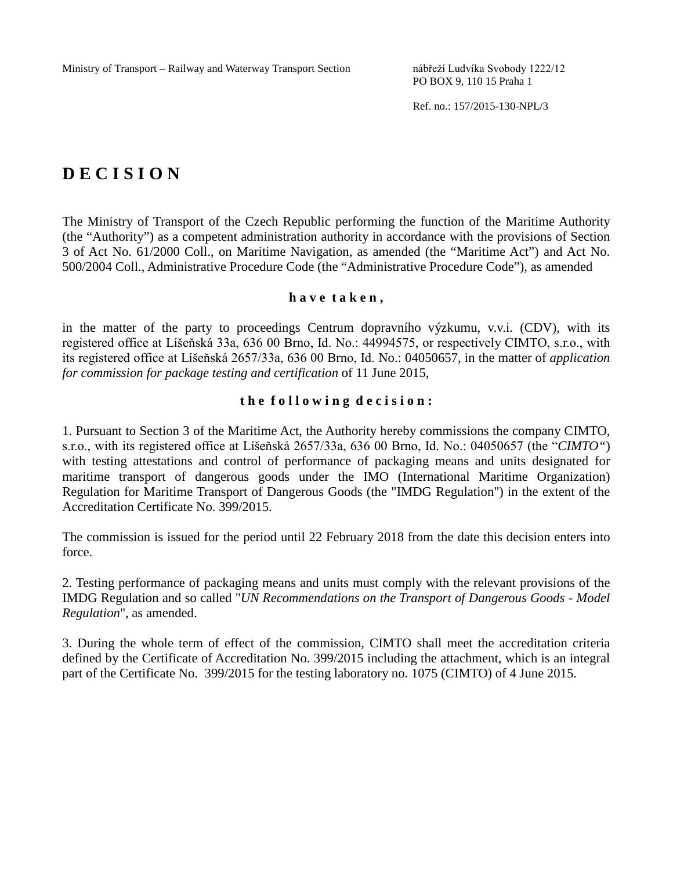PO BOX 9, 110 15 Praha 1

Ref. no.: 157/2015-130-NPL/3

# **D E C I S I O N**

The Ministry of Transport of the Czech Republic performing the function of the Maritime Authority (the "Authority") as a competent administration authority in accordance with the provisions of Section 3 of Act No. 61/2000 Coll., on Maritime Navigation, as amended (the "Maritime Act") and Act No. 500/2004 Coll., Administrative Procedure Code (the "Administrative Procedure Code"), as amended

#### **h a v e t a k e n ,**

in the matter of the party to proceedings Centrum dopravního výzkumu, v.v.i. (CDV), with its registered office at Líšeňská 33a, 636 00 Brno, Id. No.: 44994575, or respectively CIMTO, s.r.o., with its registered office at Líšeňská 2657/33a, 636 00 Brno, Id. No.: 04050657, in the matter of *application for commission for package testing and certification* of 11 June 2015*,*

## **t h e f o l l o w i n g d e c i s i o n :**

1. Pursuant to Section 3 of the Maritime Act, the Authority hereby commissions the company CIMTO, s.r.o., with its registered office at Líšeňská 2657/33a, 636 00 Brno, Id. No.: 04050657 (the "*CIMTO"*) with testing attestations and control of performance of packaging means and units designated for maritime transport of dangerous goods under the IMO (International Maritime Organization) Regulation for Maritime Transport of Dangerous Goods (the "IMDG Regulation") in the extent of the Accreditation Certificate No. 399/2015.

The commission is issued for the period until 22 February 2018 from the date this decision enters into force.

2. Testing performance of packaging means and units must comply with the relevant provisions of the IMDG Regulation and so called "*UN Recommendations on the Transport of Dangerous Goods - Model Regulation*", as amended.

3. During the whole term of effect of the commission, CIMTO shall meet the accreditation criteria defined by the Certificate of Accreditation No. 399/2015 including the attachment, which is an integral part of the Certificate No. 399/2015 for the testing laboratory no. 1075 (CIMTO) of 4 June 2015.